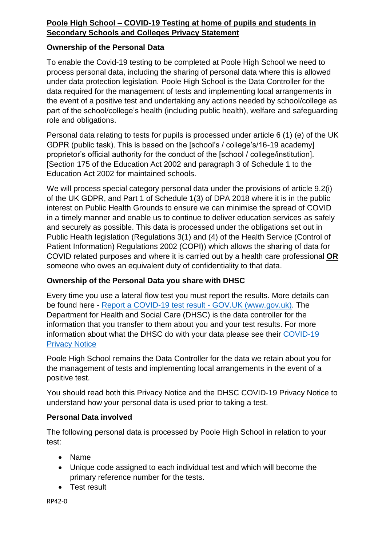# **Poole High School – COVID-19 Testing at home of pupils and students in Secondary Schools and Colleges Privacy Statement**

### **Ownership of the Personal Data**

To enable the Covid-19 testing to be completed at Poole High School we need to process personal data, including the sharing of personal data where this is allowed under data protection legislation. Poole High School is the Data Controller for the data required for the management of tests and implementing local arrangements in the event of a positive test and undertaking any actions needed by school/college as part of the school/college's health (including public health), welfare and safeguarding role and obligations.

Personal data relating to tests for pupils is processed under article 6 (1) (e) of the UK GDPR (public task). This is based on the [school's / college's/16-19 academy] proprietor's official authority for the conduct of the [school / college/institution]. [Section 175 of the Education Act 2002 and paragraph 3 of Schedule 1 to the Education Act 2002 for maintained schools.

We will process special category personal data under the provisions of article 9.2(i) of the UK GDPR, and Part 1 of Schedule 1(3) of DPA 2018 where it is in the public interest on Public Health Grounds to ensure we can minimise the spread of COVID in a timely manner and enable us to continue to deliver education services as safely and securely as possible. This data is processed under the obligations set out in Public Health legislation (Regulations 3(1) and (4) of the Health Service (Control of Patient Information) Regulations 2002 (COPI)) which allows the sharing of data for COVID related purposes and where it is carried out by a health care professional **OR** someone who owes an equivalent duty of confidentiality to that data.

## **Ownership of the Personal Data you share with DHSC**

Every time you use a lateral flow test you must report the results. More details can be found here - Report a COVID-19 test result - [GOV.UK \(www.gov.uk\).](https://www.gov.uk/report-covid19-result) The Department for Health and Social Care (DHSC) is the data controller for the information that you transfer to them about you and your test results. For more information about what the DHSC do with your data please see their [COVID-19](https://www.gov.uk/government/publications/coronavirus-covid-19-testing-privacy-information)  [Privacy Notice](https://www.gov.uk/government/publications/coronavirus-covid-19-testing-privacy-information)

Poole High School remains the Data Controller for the data we retain about you for the management of tests and implementing local arrangements in the event of a positive test.

You should read both this Privacy Notice and the DHSC COVID-19 Privacy Notice to understand how your personal data is used prior to taking a test.

## **Personal Data involved**

The following personal data is processed by Poole High School in relation to your test:

- Name
- Unique code assigned to each individual test and which will become the primary reference number for the tests.
- Test result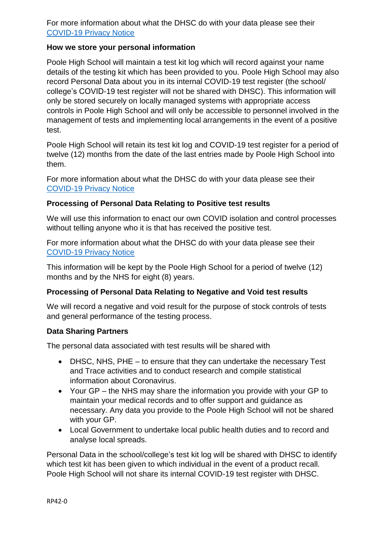For more information about what the DHSC do with your data please see their [COVID-19 Privacy Notice](https://www.gov.uk/government/publications/coronavirus-covid-19-testing-privacy-information)

### **How we store your personal information**

Poole High School will maintain a test kit log which will record against your name details of the testing kit which has been provided to you. Poole High School may also record Personal Data about you in its internal COVID-19 test register (the school/ college's COVID-19 test register will not be shared with DHSC). This information will only be stored securely on locally managed systems with appropriate access controls in Poole High School and will only be accessible to personnel involved in the management of tests and implementing local arrangements in the event of a positive test.

Poole High School will retain its test kit log and COVID-19 test register for a period of twelve (12) months from the date of the last entries made by Poole High School into them.

For more information about what the DHSC do with your data please see their [COVID-19 Privacy Notice](https://www.gov.uk/government/publications/coronavirus-covid-19-testing-privacy-information)

### **Processing of Personal Data Relating to Positive test results**

We will use this information to enact our own COVID isolation and control processes without telling anyone who it is that has received the positive test.

For more information about what the DHSC do with your data please see their [COVID-19 Privacy Notice](https://www.gov.uk/government/publications/coronavirus-covid-19-testing-privacy-information)

This information will be kept by the Poole High School for a period of twelve (12) months and by the NHS for eight (8) years.

## **Processing of Personal Data Relating to Negative and Void test results**

We will record a negative and void result for the purpose of stock controls of tests and general performance of the testing process.

#### **Data Sharing Partners**

The personal data associated with test results will be shared with

- DHSC, NHS, PHE to ensure that they can undertake the necessary Test and Trace activities and to conduct research and compile statistical information about Coronavirus.
- Your GP the NHS may share the information you provide with your GP to maintain your medical records and to offer support and guidance as necessary. Any data you provide to the Poole High School will not be shared with your GP.
- Local Government to undertake local public health duties and to record and analyse local spreads.

Personal Data in the school/college's test kit log will be shared with DHSC to identify which test kit has been given to which individual in the event of a product recall. Poole High School will not share its internal COVID-19 test register with DHSC.